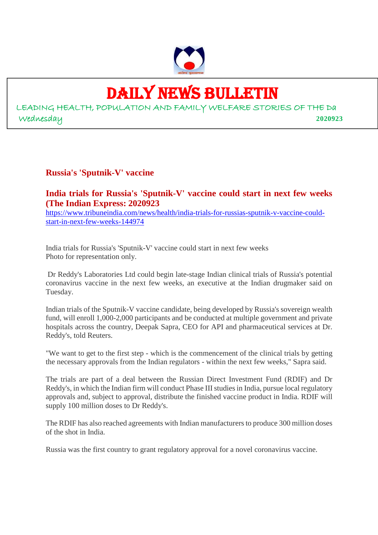

# DAILY NEWS BULLETIN

LEADING HEALTH, POPULATION AND FAMILY WELFARE STORIES OF THE Da Wednesday **2020923**

### **Russia's 'Sputnik-V' vaccine**

#### **India trials for Russia's 'Sputnik-V' vaccine could start in next few weeks (The Indian Express: 2020923**

https://www.tribuneindia.com/news/health/india-trials-for-russias-sputnik-v-vaccine-couldstart-in-next-few-weeks-144974

India trials for Russia's 'Sputnik-V' vaccine could start in next few weeks Photo for representation only.

Dr Reddy's Laboratories Ltd could begin late-stage Indian clinical trials of Russia's potential coronavirus vaccine in the next few weeks, an executive at the Indian drugmaker said on Tuesday.

Indian trials of the Sputnik-V vaccine candidate, being developed by Russia's sovereign wealth fund, will enroll 1,000-2,000 participants and be conducted at multiple government and private hospitals across the country, Deepak Sapra, CEO for API and pharmaceutical services at Dr. Reddy's, told Reuters.

"We want to get to the first step - which is the commencement of the clinical trials by getting the necessary approvals from the Indian regulators - within the next few weeks," Sapra said.

The trials are part of a deal between the Russian Direct Investment Fund (RDIF) and Dr Reddy's, in which the Indian firm will conduct Phase III studies in India, pursue local regulatory approvals and, subject to approval, distribute the finished vaccine product in India. RDIF will supply 100 million doses to Dr Reddy's.

The RDIF has also reached agreements with Indian manufacturers to produce 300 million doses of the shot in India.

Russia was the first country to grant regulatory approval for a novel coronavirus vaccine.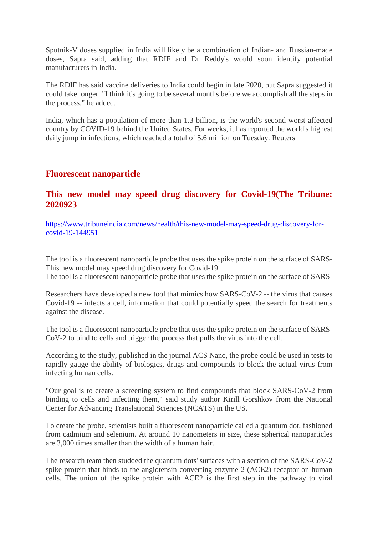Sputnik-V doses supplied in India will likely be a combination of Indian- and Russian-made doses, Sapra said, adding that RDIF and Dr Reddy's would soon identify potential manufacturers in India.

The RDIF has said vaccine deliveries to India could begin in late 2020, but Sapra suggested it could take longer. "I think it's going to be several months before we accomplish all the steps in the process," he added.

India, which has a population of more than 1.3 billion, is the world's second worst affected country by COVID-19 behind the United States. For weeks, it has reported the world's highest daily jump in infections, which reached a total of 5.6 million on Tuesday. Reuters

#### **Fluorescent nanoparticle**

#### **This new model may speed drug discovery for Covid-19(The Tribune: 2020923**

https://www.tribuneindia.com/news/health/this-new-model-may-speed-drug-discovery-forcovid-19-144951

The tool is a fluorescent nanoparticle probe that uses the spike protein on the surface of SARS-This new model may speed drug discovery for Covid-19 The tool is a fluorescent nanoparticle probe that uses the spike protein on the surface of SARS-

Researchers have developed a new tool that mimics how SARS-CoV-2 -- the virus that causes Covid-19 -- infects a cell, information that could potentially speed the search for treatments against the disease.

The tool is a fluorescent nanoparticle probe that uses the spike protein on the surface of SARS-CoV-2 to bind to cells and trigger the process that pulls the virus into the cell.

According to the study, published in the journal ACS Nano, the probe could be used in tests to rapidly gauge the ability of biologics, drugs and compounds to block the actual virus from infecting human cells.

"Our goal is to create a screening system to find compounds that block SARS-CoV-2 from binding to cells and infecting them," said study author Kirill Gorshkov from the National Center for Advancing Translational Sciences (NCATS) in the US.

To create the probe, scientists built a fluorescent nanoparticle called a quantum dot, fashioned from cadmium and selenium. At around 10 nanometers in size, these spherical nanoparticles are 3,000 times smaller than the width of a human hair.

The research team then studded the quantum dots' surfaces with a section of the SARS-CoV-2 spike protein that binds to the angiotensin-converting enzyme 2 (ACE2) receptor on human cells. The union of the spike protein with ACE2 is the first step in the pathway to viral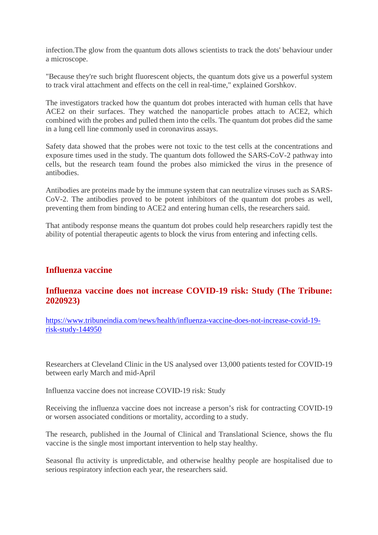infection.The glow from the quantum dots allows scientists to track the dots' behaviour under a microscope.

"Because they're such bright fluorescent objects, the quantum dots give us a powerful system to track viral attachment and effects on the cell in real-time," explained Gorshkov.

The investigators tracked how the quantum dot probes interacted with human cells that have ACE2 on their surfaces. They watched the nanoparticle probes attach to ACE2, which combined with the probes and pulled them into the cells. The quantum dot probes did the same in a lung cell line commonly used in coronavirus assays.

Safety data showed that the probes were not toxic to the test cells at the concentrations and exposure times used in the study. The quantum dots followed the SARS-CoV-2 pathway into cells, but the research team found the probes also mimicked the virus in the presence of antibodies.

Antibodies are proteins made by the immune system that can neutralize viruses such as SARS-CoV-2. The antibodies proved to be potent inhibitors of the quantum dot probes as well, preventing them from binding to ACE2 and entering human cells, the researchers said.

That antibody response means the quantum dot probes could help researchers rapidly test the ability of potential therapeutic agents to block the virus from entering and infecting cells.

#### **Influenza vaccine**

#### **Influenza vaccine does not increase COVID-19 risk: Study (The Tribune: 2020923)**

https://www.tribuneindia.com/news/health/influenza-vaccine-does-not-increase-covid-19 risk-study-144950

Researchers at Cleveland Clinic in the US analysed over 13,000 patients tested for COVID-19 between early March and mid-April

Influenza vaccine does not increase COVID-19 risk: Study

Receiving the influenza vaccine does not increase a person's risk for contracting COVID-19 or worsen associated conditions or mortality, according to a study.

The research, published in the Journal of Clinical and Translational Science, shows the flu vaccine is the single most important intervention to help stay healthy.

Seasonal flu activity is unpredictable, and otherwise healthy people are hospitalised due to serious respiratory infection each year, the researchers said.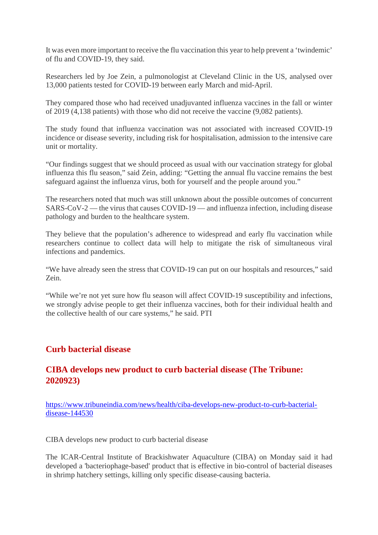It was even more important to receive the flu vaccination this year to help prevent a 'twindemic' of flu and COVID-19, they said.

Researchers led by Joe Zein, a pulmonologist at Cleveland Clinic in the US, analysed over 13,000 patients tested for COVID-19 between early March and mid-April.

They compared those who had received unadjuvanted influenza vaccines in the fall or winter of 2019 (4,138 patients) with those who did not receive the vaccine (9,082 patients).

The study found that influenza vaccination was not associated with increased COVID-19 incidence or disease severity, including risk for hospitalisation, admission to the intensive care unit or mortality.

"Our findings suggest that we should proceed as usual with our vaccination strategy for global influenza this flu season," said Zein, adding: "Getting the annual flu vaccine remains the best safeguard against the influenza virus, both for yourself and the people around you."

The researchers noted that much was still unknown about the possible outcomes of concurrent SARS-CoV-2 — the virus that causes COVID-19 — and influenza infection, including disease pathology and burden to the healthcare system.

They believe that the population's adherence to widespread and early flu vaccination while researchers continue to collect data will help to mitigate the risk of simultaneous viral infections and pandemics.

"We have already seen the stress that COVID-19 can put on our hospitals and resources," said Zein.

"While we're not yet sure how flu season will affect COVID-19 susceptibility and infections, we strongly advise people to get their influenza vaccines, both for their individual health and the collective health of our care systems," he said. PTI

#### **Curb bacterial disease**

#### **CIBA develops new product to curb bacterial disease (The Tribune: 2020923)**

https://www.tribuneindia.com/news/health/ciba-develops-new-product-to-curb-bacterialdisease-144530

CIBA develops new product to curb bacterial disease

The ICAR-Central Institute of Brackishwater Aquaculture (CIBA) on Monday said it had developed a 'bacteriophage-based' product that is effective in bio-control of bacterial diseases in shrimp hatchery settings, killing only specific disease-causing bacteria.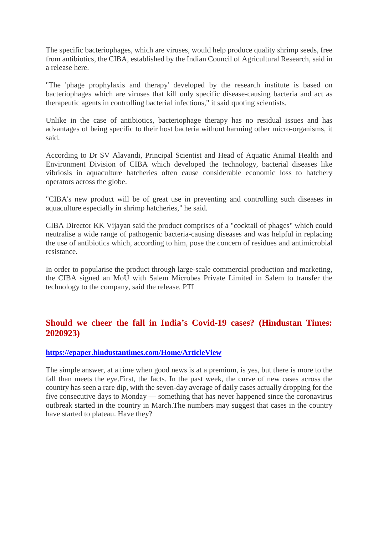The specific bacteriophages, which are viruses, would help produce quality shrimp seeds, free from antibiotics, the CIBA, established by the Indian Council of Agricultural Research, said in a release here.

"The 'phage prophylaxis and therapy' developed by the research institute is based on bacteriophages which are viruses that kill only specific disease-causing bacteria and act as therapeutic agents in controlling bacterial infections," it said quoting scientists.

Unlike in the case of antibiotics, bacteriophage therapy has no residual issues and has advantages of being specific to their host bacteria without harming other micro-organisms, it said.

According to Dr SV Alavandi, Principal Scientist and Head of Aquatic Animal Health and Environment Division of CIBA which developed the technology, bacterial diseases like vibriosis in aquaculture hatcheries often cause considerable economic loss to hatchery operators across the globe.

"CIBA's new product will be of great use in preventing and controlling such diseases in aquaculture especially in shrimp hatcheries," he said.

CIBA Director KK Vijayan said the product comprises of a "cocktail of phages" which could neutralise a wide range of pathogenic bacteria-causing diseases and was helpful in replacing the use of antibiotics which, according to him, pose the concern of residues and antimicrobial resistance.

In order to popularise the product through large-scale commercial production and marketing, the CIBA signed an MoU with Salem Microbes Private Limited in Salem to transfer the technology to the company, said the release. PTI

#### **Should we cheer the fall in India's Covid-19 cases? (Hindustan Times: 2020923)**

#### **https://epaper.hindustantimes.com/Home/ArticleView**

The simple answer, at a time when good news is at a premium, is yes, but there is more to the fall than meets the eye.First, the facts. In the past week, the curve of new cases across the country has seen a rare dip, with the seven-day average of daily cases actually dropping for the five consecutive days to Monday — something that has never happened since the coronavirus outbreak started in the country in March.The numbers may suggest that cases in the country have started to plateau. Have they?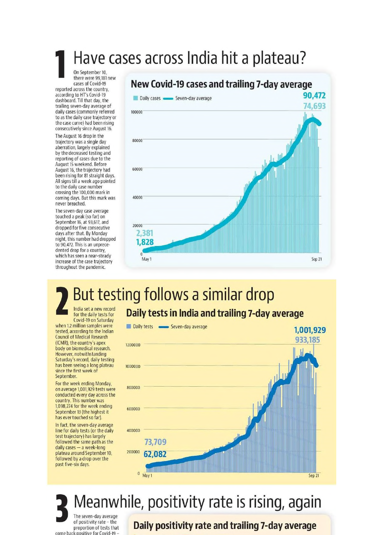# Have cases across India hit a plateau?

On September 10, there were 99,181 new cases of Covid-19

reported across the country, according to HT's Covid-19 dashboard. Till that day, the trailing seven-day average of daily cases (commonly referred to as the daily case trajectory or the case curve) had been rising consecutively since August 16.

The August 16 drop in the trajectory was a single day aberration, largely explained by the decreased testing and reporting of cases due to the August 15 weekend. Before August 16, the trajectory had been rising for 81 straight days. All signs till a week ago pointed to the daily case number crossing the 100,000 mark in coming days. But this mark was never breached.

The seven-day case average touched a peak (so far) on Sentember 16, at 93.617, and dropped for five consecutive days after that. By Monday night, this number had dropped to 90,472. This is an unprecedented drop for a country. which has seen a near-steady increase of the case trajectory throughout the pandemic.

## New Covid-19 cases and trailing 7-day average



# But testing follows a similar drop

India set a new record for the daily tests for Covid-19 on Saturday

when 12 million samples were tested, according to the Indian **Council of Medical Research** (ICMR), the country's apex body on biomedical research. However, notwithstanding Saturday's record, daily testing has been seeing a long plateau since the first week of September.

For the week ending Monday, on average 1,001,929 tests were conducted every day across the country. This number was 1.098.274 for the week ending September 13 (the highest it has ever touched so far).

In fact, the seven-day average line for daily tests (or the daily test trajectory) has largely followed the same path as the daily cases - a week-long plateau around September 10, followed by a drop over the past five-six days.

## Daily tests in India and trailing 7-day average



# Meanwhile, positivity rate is rising, again

The seven-day average of positivity rate - the proportion of tests that consitive for Covid-19

## Daily positivity rate and trailing 7-day average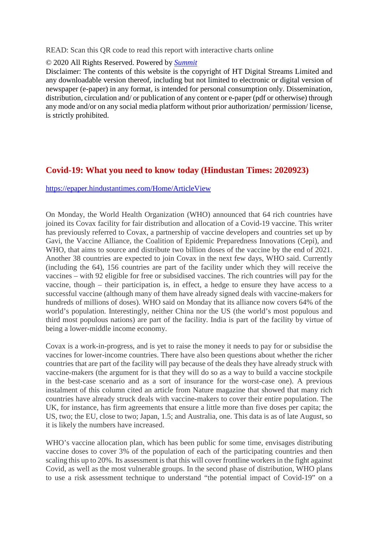READ: Scan this QR code to read this report with interactive charts online

#### © 2020 All Rights Reserved. Powered by *Summit*

Disclaimer: The contents of this website is the copyright of HT Digital Streams Limited and any downloadable version thereof, including but not limited to electronic or digital version of newspaper (e-paper) in any format, is intended for personal consumption only. Dissemination, distribution, circulation and/ or publication of any content or e-paper (pdf or otherwise) through any mode and/or on any social media platform without prior authorization/ permission/ license, is strictly prohibited.

#### **Covid-19: What you need to know today (Hindustan Times: 2020923)**

https://epaper.hindustantimes.com/Home/ArticleView

On Monday, the World Health Organization (WHO) announced that 64 rich countries have joined its Covax facility for fair distribution and allocation of a Covid-19 vaccine. This writer has previously referred to Covax, a partnership of vaccine developers and countries set up by Gavi, the Vaccine Alliance, the Coalition of Epidemic Preparedness Innovations (Cepi), and WHO, that aims to source and distribute two billion doses of the vaccine by the end of 2021. Another 38 countries are expected to join Covax in the next few days, WHO said. Currently (including the 64), 156 countries are part of the facility under which they will receive the vaccines – with 92 eligible for free or subsidised vaccines. The rich countries will pay for the vaccine, though – their participation is, in effect, a hedge to ensure they have access to a successful vaccine (although many of them have already signed deals with vaccine-makers for hundreds of millions of doses). WHO said on Monday that its alliance now covers 64% of the world's population. Interestingly, neither China nor the US (the world's most populous and third most populous nations) are part of the facility. India is part of the facility by virtue of being a lower-middle income economy.

Covax is a work-in-progress, and is yet to raise the money it needs to pay for or subsidise the vaccines for lower-income countries. There have also been questions about whether the richer countries that are part of the facility will pay because of the deals they have already struck with vaccine-makers (the argument for is that they will do so as a way to build a vaccine stockpile in the best-case scenario and as a sort of insurance for the worst-case one). A previous instalment of this column cited an article from Nature magazine that showed that many rich countries have already struck deals with vaccine-makers to cover their entire population. The UK, for instance, has firm agreements that ensure a little more than five doses per capita; the US, two; the EU, close to two; Japan, 1.5; and Australia, one. This data is as of late August, so it is likely the numbers have increased.

WHO's vaccine allocation plan, which has been public for some time, envisages distributing vaccine doses to cover 3% of the population of each of the participating countries and then scaling this up to 20%. Its assessment is that this will cover frontline workers in the fight against Covid, as well as the most vulnerable groups. In the second phase of distribution, WHO plans to use a risk assessment technique to understand "the potential impact of Covid-19" on a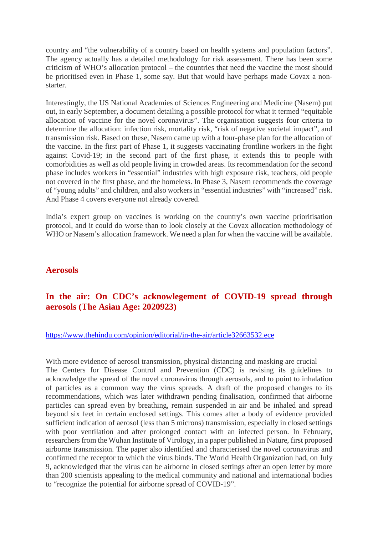country and "the vulnerability of a country based on health systems and population factors". The agency actually has a detailed methodology for risk assessment. There has been some criticism of WHO's allocation protocol – the countries that need the vaccine the most should be prioritised even in Phase 1, some say. But that would have perhaps made Covax a nonstarter.

Interestingly, the US National Academies of Sciences Engineering and Medicine (Nasem) put out, in early September, a document detailing a possible protocol for what it termed "equitable allocation of vaccine for the novel coronavirus". The organisation suggests four criteria to determine the allocation: infection risk, mortality risk, "risk of negative societal impact", and transmission risk. Based on these, Nasem came up with a four-phase plan for the allocation of the vaccine. In the first part of Phase 1, it suggests vaccinating frontline workers in the fight against Covid-19; in the second part of the first phase, it extends this to people with comorbidities as well as old people living in crowded areas. Its recommendation for the second phase includes workers in "essential" industries with high exposure risk, teachers, old people not covered in the first phase, and the homeless. In Phase 3, Nasem recommends the coverage of "young adults" and children, and also workers in "essential industries" with "increased" risk. And Phase 4 covers everyone not already covered.

India's expert group on vaccines is working on the country's own vaccine prioritisation protocol, and it could do worse than to look closely at the Covax allocation methodology of WHO or Nasem's allocation framework. We need a plan for when the vaccine will be available.

#### **Aerosols**

#### **In the air: On CDC's acknowlegement of COVID-19 spread through aerosols (The Asian Age: 2020923)**

#### https://www.thehindu.com/opinion/editorial/in-the-air/article32663532.ece

With more evidence of aerosol transmission, physical distancing and masking are crucial The Centers for Disease Control and Prevention (CDC) is revising its guidelines to acknowledge the spread of the novel coronavirus through aerosols, and to point to inhalation of particles as a common way the virus spreads. A draft of the proposed changes to its recommendations, which was later withdrawn pending finalisation, confirmed that airborne particles can spread even by breathing, remain suspended in air and be inhaled and spread beyond six feet in certain enclosed settings. This comes after a body of evidence provided sufficient indication of aerosol (less than 5 microns) transmission, especially in closed settings with poor ventilation and after prolonged contact with an infected person. In February, researchers from the Wuhan Institute of Virology, in a paper published in Nature, first proposed airborne transmission. The paper also identified and characterised the novel coronavirus and confirmed the receptor to which the virus binds. The World Health Organization had, on July 9, acknowledged that the virus can be airborne in closed settings after an open letter by more than 200 scientists appealing to the medical community and national and international bodies to "recognize the potential for airborne spread of COVID-19".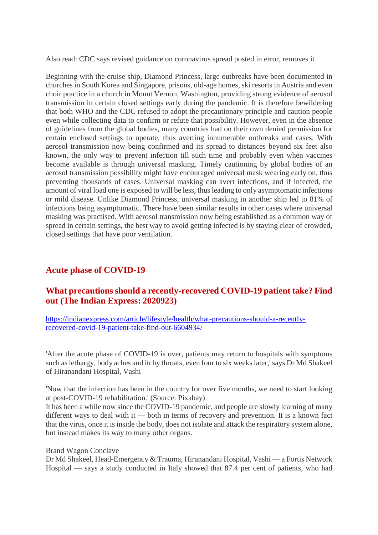Also read: CDC says revised guidance on coronavirus spread posted in error, removes it

Beginning with the cruise ship, Diamond Princess, large outbreaks have been documented in churches in South Korea and Singapore, prisons, old-age homes, ski resorts in Austria and even choir practice in a church in Mount Vernon, Washington, providing strong evidence of aerosol transmission in certain closed settings early during the pandemic. It is therefore bewildering that both WHO and the CDC refused to adopt the precautionary principle and caution people even while collecting data to confirm or refute that possibility. However, even in the absence of guidelines from the global bodies, many countries had on their own denied permission for certain enclosed settings to operate, thus averting innumerable outbreaks and cases. With aerosol transmission now being confirmed and its spread to distances beyond six feet also known, the only way to prevent infection till such time and probably even when vaccines become available is through universal masking. Timely cautioning by global bodies of an aerosol transmission possibility might have encouraged universal mask wearing early on, thus preventing thousands of cases. Universal masking can avert infections, and if infected, the amount of viral load one is exposed to will be less, thus leading to only asymptomatic infections or mild disease. Unlike Diamond Princess, universal masking in another ship led to 81% of infections being asymptomatic. There have been similar results in other cases where universal masking was practised. With aerosol transmission now being established as a common way of spread in certain settings, the best way to avoid getting infected is by staying clear of crowded, closed settings that have poor ventilation.

#### **Acute phase of COVID-19**

### **What precautions should a recently-recovered COVID-19 patient take? Find out (The Indian Express: 2020923)**

https://indianexpress.com/article/lifestyle/health/what-precautions-should-a-recentlyrecovered-covid-19-patient-take-find-out-6604934/

'After the acute phase of COVID-19 is over, patients may return to hospitals with symptoms such as lethargy, body aches and itchy throats, even four to six weeks later,' says Dr Md Shakeel of Hiranandani Hospital, Vashi

'Now that the infection has been in the country for over five months, we need to start looking at post-COVID-19 rehabilitation.' (Source: Pixabay)

It has been a while now since the COVID-19 pandemic, and people are slowly learning of many different ways to deal with it — both in terms of recovery and prevention. It is a known fact that the virus, once it is inside the body, does not isolate and attack the respiratory system alone, but instead makes its way to many other organs.

#### Brand Wagon Conclave

Dr Md Shakeel, Head-Emergency & Trauma, Hiranandani Hospital, Vashi — a Fortis Network Hospital — says a study conducted in Italy showed that 87.4 per cent of patients, who had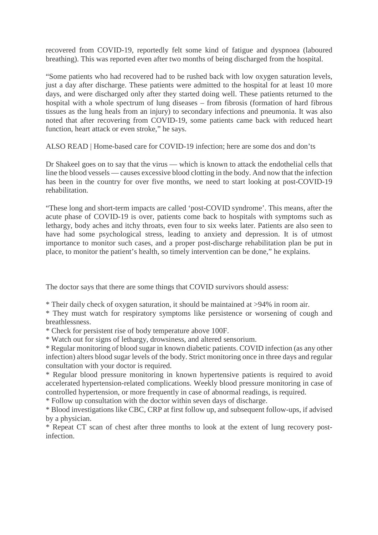recovered from COVID-19, reportedly felt some kind of fatigue and dyspnoea (laboured breathing). This was reported even after two months of being discharged from the hospital.

"Some patients who had recovered had to be rushed back with low oxygen saturation levels, just a day after discharge. These patients were admitted to the hospital for at least 10 more days, and were discharged only after they started doing well. These patients returned to the hospital with a whole spectrum of lung diseases – from fibrosis (formation of hard fibrous tissues as the lung heals from an injury) to secondary infections and pneumonia. It was also noted that after recovering from COVID-19, some patients came back with reduced heart function, heart attack or even stroke," he says.

ALSO READ | Home-based care for COVID-19 infection; here are some dos and don'ts

Dr Shakeel goes on to say that the virus — which is known to attack the endothelial cells that line the blood vessels — causes excessive blood clotting in the body. And now that the infection has been in the country for over five months, we need to start looking at post-COVID-19 rehabilitation.

"These long and short-term impacts are called 'post-COVID syndrome'. This means, after the acute phase of COVID-19 is over, patients come back to hospitals with symptoms such as lethargy, body aches and itchy throats, even four to six weeks later. Patients are also seen to have had some psychological stress, leading to anxiety and depression. It is of utmost importance to monitor such cases, and a proper post-discharge rehabilitation plan be put in place, to monitor the patient's health, so timely intervention can be done," he explains.

The doctor says that there are some things that COVID survivors should assess:

\* Their daily check of oxygen saturation, it should be maintained at >94% in room air.

\* They must watch for respiratory symptoms like persistence or worsening of cough and breathlessness.

\* Check for persistent rise of body temperature above 100F.

\* Watch out for signs of lethargy, drowsiness, and altered sensorium.

\* Regular monitoring of blood sugar in known diabetic patients. COVID infection (as any other infection) alters blood sugar levels of the body. Strict monitoring once in three days and regular consultation with your doctor is required.

\* Regular blood pressure monitoring in known hypertensive patients is required to avoid accelerated hypertension-related complications. Weekly blood pressure monitoring in case of controlled hypertension, or more frequently in case of abnormal readings, is required.

\* Follow up consultation with the doctor within seven days of discharge.

\* Blood investigations like CBC, CRP at first follow up, and subsequent follow-ups, if advised by a physician.

\* Repeat CT scan of chest after three months to look at the extent of lung recovery postinfection.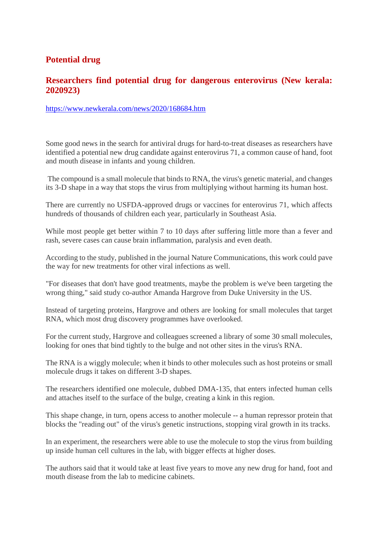#### **Potential drug**

#### **Researchers find potential drug for dangerous enterovirus (New kerala: 2020923)**

https://www.newkerala.com/news/2020/168684.htm

Some good news in the search for antiviral drugs for hard-to-treat diseases as researchers have identified a potential new drug candidate against enterovirus 71, a common cause of hand, foot and mouth disease in infants and young children.

The compound is a small molecule that binds to RNA, the virus's genetic material, and changes its 3-D shape in a way that stops the virus from multiplying without harming its human host.

There are currently no USFDA-approved drugs or vaccines for enterovirus 71, which affects hundreds of thousands of children each year, particularly in Southeast Asia.

While most people get better within 7 to 10 days after suffering little more than a fever and rash, severe cases can cause brain inflammation, paralysis and even death.

According to the study, published in the journal Nature Communications, this work could pave the way for new treatments for other viral infections as well.

"For diseases that don't have good treatments, maybe the problem is we've been targeting the wrong thing," said study co-author Amanda Hargrove from Duke University in the US.

Instead of targeting proteins, Hargrove and others are looking for small molecules that target RNA, which most drug discovery programmes have overlooked.

For the current study, Hargrove and colleagues screened a library of some 30 small molecules, looking for ones that bind tightly to the bulge and not other sites in the virus's RNA.

The RNA is a wiggly molecule; when it binds to other molecules such as host proteins or small molecule drugs it takes on different 3-D shapes.

The researchers identified one molecule, dubbed DMA-135, that enters infected human cells and attaches itself to the surface of the bulge, creating a kink in this region.

This shape change, in turn, opens access to another molecule -- a human repressor protein that blocks the "reading out" of the virus's genetic instructions, stopping viral growth in its tracks.

In an experiment, the researchers were able to use the molecule to stop the virus from building up inside human cell cultures in the lab, with bigger effects at higher doses.

The authors said that it would take at least five years to move any new drug for hand, foot and mouth disease from the lab to medicine cabinets.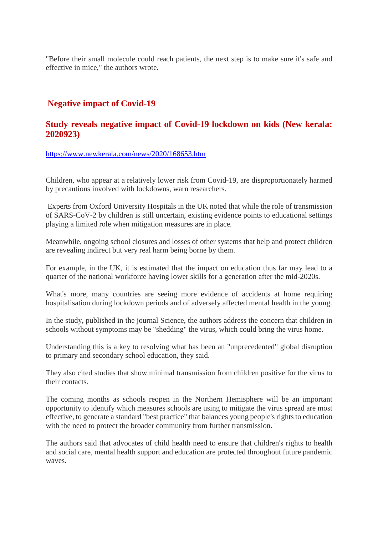"Before their small molecule could reach patients, the next step is to make sure it's safe and effective in mice," the authors wrote.

#### **Negative impact of Covid-19**

#### **Study reveals negative impact of Covid-19 lockdown on kids (New kerala: 2020923)**

https://www.newkerala.com/news/2020/168653.htm

Children, who appear at a relatively lower risk from Covid-19, are disproportionately harmed by precautions involved with lockdowns, warn researchers.

Experts from Oxford University Hospitals in the UK noted that while the role of transmission of SARS-CoV-2 by children is still uncertain, existing evidence points to educational settings playing a limited role when mitigation measures are in place.

Meanwhile, ongoing school closures and losses of other systems that help and protect children are revealing indirect but very real harm being borne by them.

For example, in the UK, it is estimated that the impact on education thus far may lead to a quarter of the national workforce having lower skills for a generation after the mid-2020s.

What's more, many countries are seeing more evidence of accidents at home requiring hospitalisation during lockdown periods and of adversely affected mental health in the young.

In the study, published in the journal Science, the authors address the concern that children in schools without symptoms may be "shedding" the virus, which could bring the virus home.

Understanding this is a key to resolving what has been an "unprecedented" global disruption to primary and secondary school education, they said.

They also cited studies that show minimal transmission from children positive for the virus to their contacts.

The coming months as schools reopen in the Northern Hemisphere will be an important opportunity to identify which measures schools are using to mitigate the virus spread are most effective, to generate a standard "best practice" that balances young people's rights to education with the need to protect the broader community from further transmission.

The authors said that advocates of child health need to ensure that children's rights to health and social care, mental health support and education are protected throughout future pandemic waves.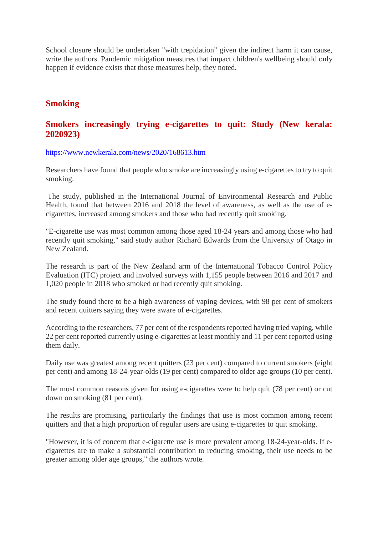School closure should be undertaken "with trepidation" given the indirect harm it can cause, write the authors. Pandemic mitigation measures that impact children's wellbeing should only happen if evidence exists that those measures help, they noted.

#### **Smoking**

#### **Smokers increasingly trying e-cigarettes to quit: Study (New kerala: 2020923)**

https://www.newkerala.com/news/2020/168613.htm

Researchers have found that people who smoke are increasingly using e-cigarettes to try to quit smoking.

The study, published in the International Journal of Environmental Research and Public Health, found that between 2016 and 2018 the level of awareness, as well as the use of ecigarettes, increased among smokers and those who had recently quit smoking.

"E-cigarette use was most common among those aged 18-24 years and among those who had recently quit smoking," said study author Richard Edwards from the University of Otago in New Zealand.

The research is part of the New Zealand arm of the International Tobacco Control Policy Evaluation (ITC) project and involved surveys with 1,155 people between 2016 and 2017 and 1,020 people in 2018 who smoked or had recently quit smoking.

The study found there to be a high awareness of vaping devices, with 98 per cent of smokers and recent quitters saying they were aware of e-cigarettes.

According to the researchers, 77 per cent of the respondents reported having tried vaping, while 22 per cent reported currently using e-cigarettes at least monthly and 11 per cent reported using them daily.

Daily use was greatest among recent quitters (23 per cent) compared to current smokers (eight per cent) and among 18-24-year-olds (19 per cent) compared to older age groups (10 per cent).

The most common reasons given for using e-cigarettes were to help quit (78 per cent) or cut down on smoking (81 per cent).

The results are promising, particularly the findings that use is most common among recent quitters and that a high proportion of regular users are using e-cigarettes to quit smoking.

"However, it is of concern that e-cigarette use is more prevalent among 18-24-year-olds. If ecigarettes are to make a substantial contribution to reducing smoking, their use needs to be greater among older age groups," the authors wrote.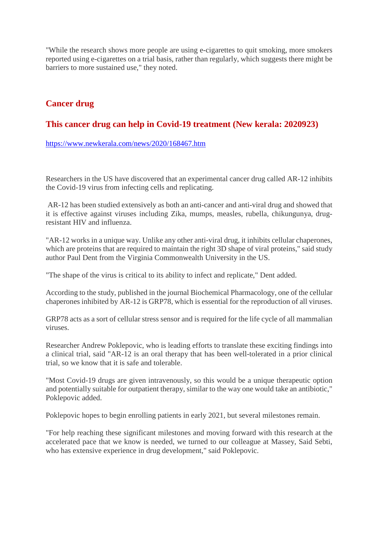"While the research shows more people are using e-cigarettes to quit smoking, more smokers reported using e-cigarettes on a trial basis, rather than regularly, which suggests there might be barriers to more sustained use," they noted.

### **Cancer drug**

### **This cancer drug can help in Covid-19 treatment (New kerala: 2020923)**

https://www.newkerala.com/news/2020/168467.htm

Researchers in the US have discovered that an experimental cancer drug called AR-12 inhibits the Covid-19 virus from infecting cells and replicating.

AR-12 has been studied extensively as both an anti-cancer and anti-viral drug and showed that it is effective against viruses including Zika, mumps, measles, rubella, chikungunya, drugresistant HIV and influenza.

"AR-12 works in a unique way. Unlike any other anti-viral drug, it inhibits cellular chaperones, which are proteins that are required to maintain the right 3D shape of viral proteins," said study author Paul Dent from the Virginia Commonwealth University in the US.

"The shape of the virus is critical to its ability to infect and replicate," Dent added.

According to the study, published in the journal Biochemical Pharmacology, one of the cellular chaperones inhibited by AR-12 is GRP78, which is essential for the reproduction of all viruses.

GRP78 acts as a sort of cellular stress sensor and is required for the life cycle of all mammalian viruses.

Researcher Andrew Poklepovic, who is leading efforts to translate these exciting findings into a clinical trial, said "AR-12 is an oral therapy that has been well-tolerated in a prior clinical trial, so we know that it is safe and tolerable.

"Most Covid-19 drugs are given intravenously, so this would be a unique therapeutic option and potentially suitable for outpatient therapy, similar to the way one would take an antibiotic," Poklepovic added.

Poklepovic hopes to begin enrolling patients in early 2021, but several milestones remain.

"For help reaching these significant milestones and moving forward with this research at the accelerated pace that we know is needed, we turned to our colleague at Massey, Said Sebti, who has extensive experience in drug development," said Poklepovic.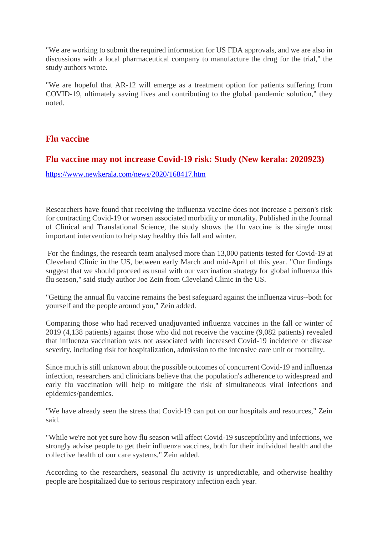"We are working to submit the required information for US FDA approvals, and we are also in discussions with a local pharmaceutical company to manufacture the drug for the trial," the study authors wrote.

"We are hopeful that AR-12 will emerge as a treatment option for patients suffering from COVID-19, ultimately saving lives and contributing to the global pandemic solution," they noted.

#### **Flu vaccine**

#### **Flu vaccine may not increase Covid-19 risk: Study (New kerala: 2020923)**

https://www.newkerala.com/news/2020/168417.htm

Researchers have found that receiving the influenza vaccine does not increase a person's risk for contracting Covid-19 or worsen associated morbidity or mortality. Published in the Journal of Clinical and Translational Science, the study shows the flu vaccine is the single most important intervention to help stay healthy this fall and winter.

For the findings, the research team analysed more than 13,000 patients tested for Covid-19 at Cleveland Clinic in the US, between early March and mid-April of this year. "Our findings suggest that we should proceed as usual with our vaccination strategy for global influenza this flu season," said study author Joe Zein from Cleveland Clinic in the US.

"Getting the annual flu vaccine remains the best safeguard against the influenza virus--both for yourself and the people around you," Zein added.

Comparing those who had received unadjuvanted influenza vaccines in the fall or winter of 2019 (4,138 patients) against those who did not receive the vaccine (9,082 patients) revealed that influenza vaccination was not associated with increased Covid-19 incidence or disease severity, including risk for hospitalization, admission to the intensive care unit or mortality.

Since much is still unknown about the possible outcomes of concurrent Covid-19 and influenza infection, researchers and clinicians believe that the population's adherence to widespread and early flu vaccination will help to mitigate the risk of simultaneous viral infections and epidemics/pandemics.

"We have already seen the stress that Covid-19 can put on our hospitals and resources," Zein said.

"While we're not yet sure how flu season will affect Covid-19 susceptibility and infections, we strongly advise people to get their influenza vaccines, both for their individual health and the collective health of our care systems," Zein added.

According to the researchers, seasonal flu activity is unpredictable, and otherwise healthy people are hospitalized due to serious respiratory infection each year.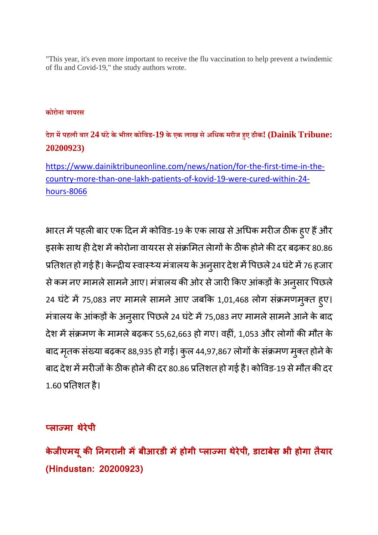"This year, it's even more important to receive the flu vaccination to help prevent a twindemic of flu and Covid-19," the study authors wrote.

#### **कोरोना वायरस**

## **देश मपहली बार 24 घंटेकेभीतर कोिवड-19 के एक लाख सेअिधक मरीज हए ठीक! (Dainik Tribune: 20200923)**

https://www.dainiktribuneonline.com/news/nation/for-the-first-time-in-thecountry-more-than-one-lakh-patients-of-kovid-19-were-cured-within-24 hours-8066

भारत में पहली बार एक दिन में कोविड-19 के एक लाख से अधिक मरीज ठीक हुए हैं और इसके साथ ही देश में कोरोना वायरस से संक्रमित लेागों के ठीक होने की दर बढ़कर 80.86 प्रतिशत हो गई है। केन्द्रीय स्वास्थ्य मत्रालय के अनुसार देश में पिछले 24 घटे में 76 हजार से कम नए मामले सामने आए। मंत्रालय की ओर से जारी किए आंकड़ों के अनुसार पिछले। 24 घटे में 75,083 नए मामले सामने आए जबकि 1,01,468 लोग संक्रमणमुक्त हुए। मंत्रालय के आंकड़ों के अनुसार पिछले 24 घंटे में 75,083 नए मामले सामने आने के बाद देश में संक्रमण के मामले बढ़कर 55,62,663 हो गए। वहीं, 1,053 और लोगों की मौत के बाद मृतक संख्या बढ़कर 88,935 हो गई। कुल 44,97,867 लोगों के संक्रमण मुक्त होने के बाद देश में मरीजों के ठीक होने की दर 80.86 प्रतिशत हो गई है। कोविड-19 से मौत की दर  $1.60$  प्रतिशत है।

#### **लामा थेरेपी**

**केजीएमय ू कनगरानी मबीआरडी महोगी लामा थेरेपी, डाटाबसे भी होगा तैयार (Hindustan: 20200923)**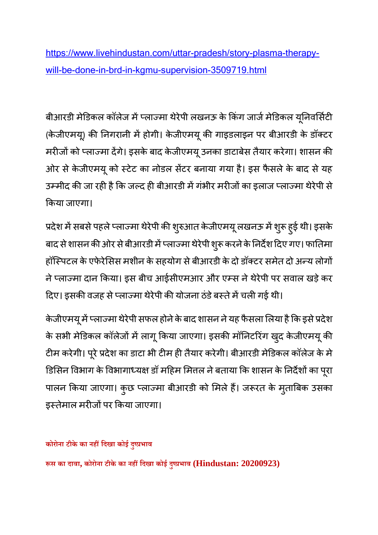https://www.livehindustan.com/uttar-pradesh/story-plasma-therapywill-be-done-in-brd-in-kgmu-supervision-3509719.html

बीआरडी मेडिकल कॉलेज में प्लाज्मा थेरेपी लखनऊ के किंग जाजे मेडिकल यूनिवर्सिटी ं (केजीएमय्) की निगरानी में होगी। केजीएमयू की गाइडलाइन पर बीआरडी के डॉक्टर मरीजो को प्लाज्मा देंगे। इसके बाद केजीएमयू उनका डाटाबेस तैयार करेगा। शासन की ओर से केजीएमयू को स्टेट का नोडल सेटर बनाया गया है। इस फैसले के बाद से यह उम्मीद की जा रही है कि जल्द ही बीआरडी में गंभीर मरीजों का इलाज प्लाज्मा थेरेपी से कया जाएगा।

प्रदेश में सबसे पहले प्लाज्मा थेरेपी की शुरुआत केजीएमयू लखनऊ में शुरू हुई थीं। इसके बाद से शासन की ओर से बीआरडी में प्लाज्मा थेरेपी शुरू करने के निर्देश दिए गए। फार्तिमा हॉस्पिटल के एफेरेसिस मशीन के सहयोग से बीआरडी के दो डॉक्टर समेत दो अन्य लोगों ने प्लाज्मा दान किया। इस बीच आईसीएमआर और एम्स ने थेरेपी पर सवाल खड़े कर दिए। इसकी वजह से प्लाज्मा थेरेपी की योजना ठंडे बस्ते में चली गई थी।

केजीएमयू में प्लाज्मा थेरेपी सफल होने के बाद शासन ने यह फैसला लिया है कि इसे प्रदेश के सभी मेडिकल कॉलेजो में लागू किया जाएगा। इसकी मॉनिटरिंग खुद केजीएमयू की टीम करेगी। पूरे प्रदेश का डाटा भी टीम ही तैयार करेगी। बीआरडी मेडिकल कॉलेज के मे डिसिन विभाग के विभागाध्यक्ष डॉ महिम मित्तल ने बताया कि शासन के निर्देशों का पूरा पालन किया जाएगा। कुछ प्लाज्मा बीआरडी को मिले है। जरूरत के मुताबिक उसका इस्तेमाल मरीजों पर किया जाएगा।

**कोरोना टीकेका नहिदखा कोई दुभाव**

**स का दावा, कोरोना टीकेका नहिदखा कोई दुभाव (Hindustan: 20200923)**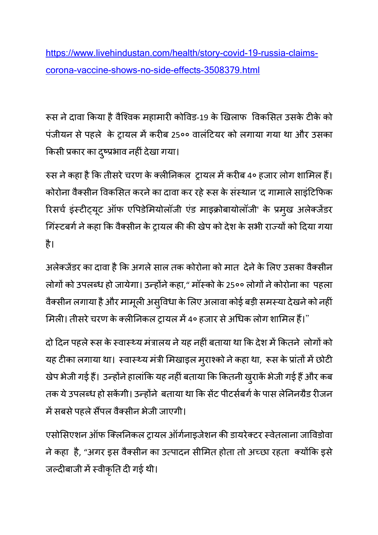https://www.livehindustan.com/health/story-covid-19-russia-claimscorona-vaccine-shows-no-side-effects-3508379.html

रूस ने दावा किया है वैश्विक महामारी कोविड-19 के खिलाफ विकसित उसके टीके को पंजीयन से पहले के ट्रायल में करीब 25०० वालंटियर को लगाया गया था और उसका किसी प्रकार का दुष्प्रभाव नहीं देखा गया।

रुस ने कहा है कि तीसरे चरण के क्लीनिकल ट्रायल में करीब 4० हजार लोग शामिल हैं। कोरोना वैक्सीन विकसित करने का दावा कर रहे रूस के संस्थान 'द गामाले साइंटिफिक रिसचे इस्टीट्यूट ऑफ एपिडेमियोलॉजी एंड माइक्रोबायोलॉजी' के प्रमुख अलेक्जेंडर गिंस्टबर्ग ने कहा कि वैक्सीन के ट्रायल की की खेप को देश के सभी राज्यों को दिया गया है।

अलेक्जेंडर का दावा है कि अगले साल तक कोरोना को मात देने के लिए उसका वैक्सीन लोगों को उपलब्ध हो जायेगा। उन्होंने कहा," मॉस्को के 25०० लोगों ने कोरोना का पहला वैक्सीन लगाया है और मामूली असुविधा के लिए अलावा कोई बड़ी समस्या देखने को नहीं | मिली। तीसरे चरण के क्लीनिकल ट्रायल में 4० हजार से अधिक लोग शामिल हैं।"

दो दिन पहले रूस के स्वास्थ्य मंत्रालय ने यह नहीं बताया था कि देश में कितने लोगों को यह टीका लगाया था। स्वास्थ्य मंत्री मिखाइल मुराश्को ने कहा था, रूस के प्रांतों में छोटी खेप भेजी गई है। उन्होने हालांकि यह नहीं बताया कि कितनी खुराके भेजी गई है और कब तक ये उपलब्ध हो सकेंगी। उन्होंने बताया था कि सेंट पीटर्सबर्ग के पास लेनिनग्रैड रीजन में सबसे पहले सैंपल वैक्सीन भेजी जाएगी।

एसोसिएशन ऑफ क्लिनिकल ट्रायल ऑर्गनाइजेशन की डायरेक्टर स्वेतलाना जाविडोवा ने कहा है, "अगर इस वैक्सीन का उत्पादन सीमित होता तो अच्छा रहता क्योंकि इसे जल्दीबाजी में स्वीकृति दी गई थी।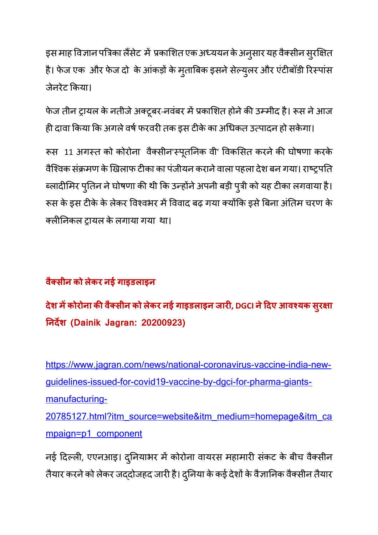इस माह विज्ञान पत्रिका लैसेट मे प्रकाशित एक अध्ययन के अनुसार यह वैक्सीन सुरक्षित है। फेज एक और फेज दो के आकड़ों के मुताबिक इसने सेल्युलर और एंटीबॉडी रिस्पास जेनरेट कया।

फेज तीन ट्रायल के नतीजे अक्टूबर-नवंबर में प्रकाशित होने की उम्मीद है। रूस ने आज ही दावा किया कि अगले वर्ष फरवरी तक इस टीके का अधिकत उत्पादन हो सकेगा।

रूस 11 अगस्त को कोरोना वैक्सीन'स्पूर्तानेक वी' विकसित करने की घोषणा करके वैश्विक संक्रमण के खिलाफ टीका का पंजीयन कराने वाला पहला देश बन गया। राष्ट्रपति ब्लादीमिर पुतिन ने घोषणा की थी कि उन्होने अपनी बड़ी पुत्री को यह टीका लगवाया है। रूस के इस टीके के लेकर विश्वभर में विवाद बढ़ गया क्योंकि इसे बिना अंतिम चरण के लनकल ायल केलगाया गया था।

## **वै सीन को लेकर नई गाइडलाइन**

**देश मकोरोना कवै सीन को लेकर नई गाइडलाइन जार, DGCI नेदए आवयक सरु ा नदश (Dainik Jagran: 20200923)**

https://www.jagran.com/news/national-coronavirus-vaccine-india-newguidelines-issued-for-covid19-vaccine-by-dgci-for-pharma-giantsmanufacturing-20785127.html?itm\_source=website&itm\_medium=homepage&itm\_ca mpaign=p1\_component

नई दिल्ली, एएनआइ। दुनियाभर में कोरोना वायरस महामारी संकट के बीच वैक्सीन तैयार करने को लेकर जद्दोजहद जारी है। दुनिया के कई देशों के वैज्ञानिक वैक्सीन तैयार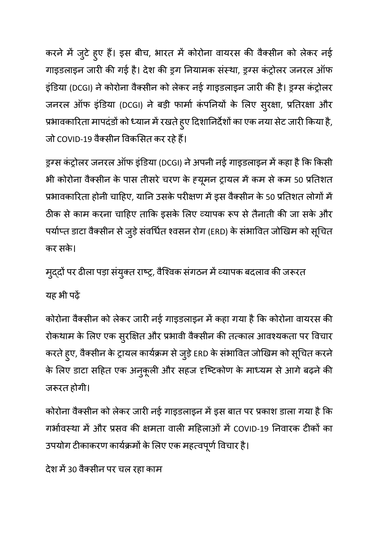करने में जुटे हुए हैं। इस बीच, भारत में कोरोना वायरस की वैक्सीन को लेकर नई गाइडलाइन जारी की गई है। देश की ड्रग नियामक संस्था, ड्रग्स कंट्रोलर जनरल ऑफ इंडिया (DCGI) ने कोरोना वैक्सीन को लेकर नई गाइडलाइन जारी की है। इग्स कंट्रोलर जनरल ऑफ इंडिया (DCGI) ने बड़ी फार्मा कंपनियों के लिए सुरक्षा, प्रतिरक्षा और प्रभावकारिता मापदंडो को ध्यान में रखते हुए दिशानिर्देशों का एक नया सेट जारी किया है, जो COVID-19 वैक्सीन विकसित कर रहे हैं।

ड्रग्स कंट्रोलर जनरल ऑफ इंडिया (DCGI) ने अपनी नई गाइडलाइन में कहा है कि किसी भी कोरोना वैक्सीन के पास तीसरे चरण के ह्यूमन ट्रायल में कम से कम 50 प्रतिशत प्रभावकारिता होनी चाहिए, यानि उसके परीक्षण में इस वैक्सीन के 50 प्रतिशत लोगों में ठीक से काम करना चाहिए ताकि इसके लिए व्यापक रूप से तैनाती की जा सके और पर्याप्त डाटा वैक्सीन से जुड़े सर्वाधेत श्वसन रोग (ERD) के सभावित जोखिम को सूचित कर सके।

मुद्दो पर ढीला पड़ा संयुक्त राष्ट्र, वैश्विक संगठन में व्यापक बदलाव की जरूरत यह भी पढ़

कोरोना वैक्सीन को लेकर जारी नई गाइडलाइन में कहा गया है कि कोरोना वायरस की रोकथाम के लिए एक सुरक्षित और प्रभावी वैक्सीन की तत्काल आवश्यकता पर विचार करते हुए, वैक्सीन के ट्रायल कार्यक्रम से जुड़े ERD के संभावित जोखिम को सूचित करने <sub>.</sub> के लिए डाटा सहित एक अनुकूली और सहज दर्ष्टिकोण के माध्यम से आगे बढ़ने की जरूरत होगी।

कोरोना वैक्सीन को लेकर जारी नई गाइडलाइन में इस बात पर प्रकाश डाला गया है कि गर्भावस्था में और प्रसव की क्षमता वाली महिलाओं में COVID-19 निवारक टीकों का उपयोग टीकाकरण कार्यक्रमों के लिए एक महत्वपूर्ण विचार है।

देश में 30 वैक्सीन पर चल रहा काम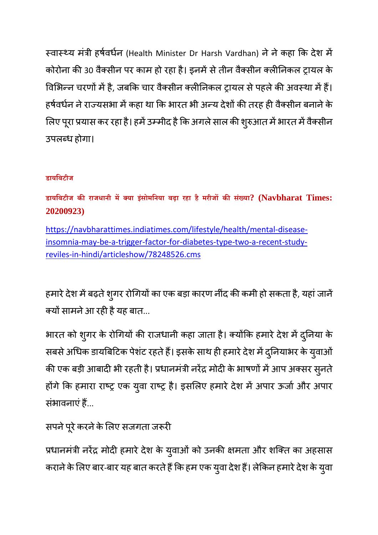स्वास्थ्य मंत्री हर्षवर्धन (Health Minister Dr Harsh Vardhan) ने ने कहा कि देश में कोरोना की 30 वैक्सीन पर काम हो रहा है। इनमें से तीन वैक्सीन क्लीनिकल ट्रायल के विभिन्न चरणों में है, जबकि चार वैक्सीन क्लीनिकल ट्रायल से पहले की अवस्था में हैं। हर्षवर्धन ने राज्यसभा में कहा था कि भारत भी अन्य देशों की तरह ही वैक्सीन बनाने के लिए पूरा प्रयास कर रहा है। हमें उम्मीद है कि अगले साल की शुरुआत में भारत में वैक्सीन उपलध होगा।

## **डायिबटीज**

**डायिबटीज कराजधानी मया इसं ोमिनया बढ़ा रहा है मरीजकसं या? (Navbharat Times: 20200923)**

https://navbharattimes.indiatimes.com/lifestyle/health/mental-diseaseinsomnia-may-be-a-trigger-factor-for-diabetes-type-two-a-recent-studyreviles-in-hindi/articleshow/78248526.cms

हमारे देश में बढ़ते शुगर रोगियों का एक बड़ा कारण नींद की कमी हो सकता है, यहां जाने क्यों सामने आ रही है यह बात...

भारत को शुगर के रोगियों की राजधानी कहा जाता है। क्योंकि हमारे देश में दुनिया के सबसे अधिक डायबिटिक पेशट रहते हैं। इसके साथ ही हमारे देश में दुनियाभर के युवाओं की एक बड़ी आबादी भी रहती है। प्रधानमंत्री नरेंद्र मोदी के भाषणों में आप अक्सर सुनते | होंगे कि हमारा राष्ट्र एक युवा राष्ट्र है। इसलिए हमारे देश में अपार ऊर्जा और अपार संभावनाएं हैं...

## सपने पूरे करने के लिए सजगता जरूरी

प्रधानमंत्री नरेंद्र मोदी हमारे देश के युवाओं को उनकी क्षमता और शक्ति का अहसास कराने के लिए बार-बार यह बात करते हैं कि हम एक युवा देश हैं। लेकिन हमारे देश के युवा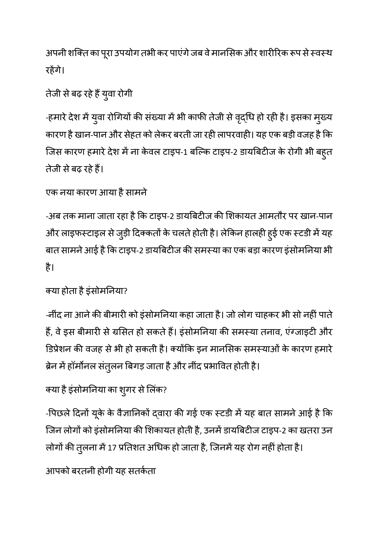अपनी शक्ति का पूरा उपयोग तभी कर पाएंगे जब वे मार्नासेक और शारीरिक रूप से स्वस्थ रहगे।

## तेजी से बढ़ रहे है युवा रोगी

-हमारे देश में युवा रोगियों की संख्या में भी काफी तेजी से वृद्धि हो रही है। इसका मुख्य कारण है खान-पान और सेहत को लेकर बरती जा रही लापरवाही। यह एक बड़ी वजह है कि जिस कारण हमारे देश मे ना केवल टाइप-1 बल्कि टाइप-2 डायबिटीज के रोगी भी बहुत तेजी सेबढ़ रहेह।

## एक नया कारण आया है सामने

-अब तक माना जाता रहा है कि टाइप-2 डायबिटीज की शिकायत आमतौर पर खान-पान और लाइफर्न्टाइल से जुड़ी दिक्कतों के चलते होती है। लेकिन हालही हुई एक स्टडी में यह बात सामने आई है कि टाइप-2 डायबिटीज की समस्या का एक बड़ा कारण इंसोमनिया भी है।

## क्या होता है इंसोमनिया?

-नींद ना आने की बीमारी को इंसोमनिया कहा जाता है। जो लोग चाहकर भी सो नहीं पाते हैं, वे इस बीमारी से ग्रसित हो सकते हैं। इंसोमनिया की समस्या तनाव, एंग्जाइटी और डिप्रेशन की वजह से भी हो सकती है। क्योंकि इन मानसिक समस्याओं के कारण हमारे ब्रेन मे हॉर्मोनल सतुलन बिगड़ जाता है और नींद प्रभावित होती है।

## क्या है इंसोमनिया का शुगर से लिक?

-पिछले दिनों यूके के वैज्ञानिको द्वारा की गई एक स्टडी में यह बात सामने आई है कि जिन लोगों को इंसोमनिया की शिकायत होती है, उनमें डायबिटीज टाइप-2 का खतरा उन लोगों की तुलना में 17 प्रतिशत अधिक हो जाता है, जिनमें यह रोग नहीं होता है।

आपको बरतनी होगी यह सतकता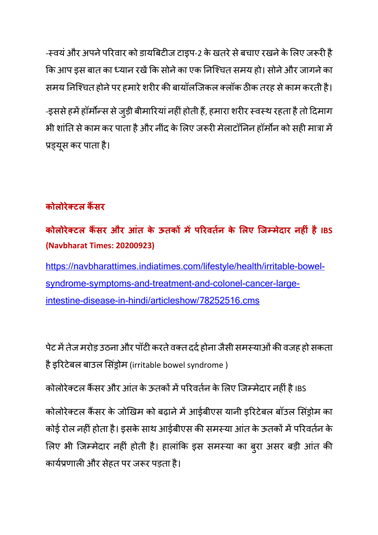-स्वयं और अपने परिवार को डायबिटीज टाइप-2 के खतरे से बचाए रखने के लिए जरूरी है कि आप इस बात का ध्यान रखें कि सोने का एक निश्चित समय हो। सोने और जागने का समय निश्चित होने पर हमारे शरीर की बायॉलजिकल क्लॉक ठीक तरह से काम करती है।

-इससे हमें हॉर्मोन्स से जुड़ी बीमारियां नहीं होती हैं, हमारा शरीर स्वस्थ रहता है तो दिमाग भी शांति से काम कर पाता है और नींद के लिए जरूरी मेलाटॉनिन हॉर्मोन को सही मात्रा में प्रड्यूस कर पाता है।

## **कोलोरेटल कसर**

**कोलोरेटल कसर और आंत के ऊतक मपरवतन के लए िजमेदार नहं हैIBS (Navbharat Times: 20200923)**

https://navbharattimes.indiatimes.com/lifestyle/health/irritable-bowelsyndrome-symptoms-and-treatment-and-colonel-cancer-largeintestine-disease-in-hindi/articleshow/78252516.cms

पेट में तेज मरोड़ उठना और पॉटी करते वक्त दर्द होना जैसी समस्याओं की वजह हो सकता है इरिटेबल बाउल सिंड्रोम (irritable bowel syndrome )

कोलोरेक्टल कैंसर और आंत के ऊतकों में परिवर्तन के लिए जिम्मेदार नहीं है IBS

कोलोरेक्टल कैंसर के जोखिम को बढ़ाने में आईबीएस यानी इरिटेबल बॉउल सिंड़ोम का कोई रोल नहीं होता है। इसके साथ आईबीएस की समस्या आंत के ऊतकों में परिवर्तन के लिए भी जिम्मेदार नहीं होती है। हालांकि इस समस्या का बुरा असर बड़ी आत की कार्यप्रणाली और सेहत पर जरूर पड़ता है।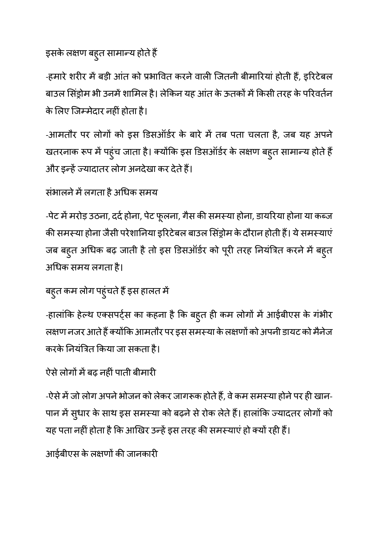# इसके लक्षण बहुत सामान्य होते हैं |

-हमारे शरीर में बड़ी आंत को प्रभावित करने वाली जितनी बीमारियां होती हैं, इरिटेबल बाउल सिंड्रोम भी उनमें शामिल है। लेकिन यह आंत के ऊतकों में किसी तरह के परिवर्तन के लिए जिम्मेदार नहीं होता है।

-आमतौर पर लोगों को इस डिसऑर्डर के बारे में तब पता चलता है, जब यह अपने खतरनाक रूप में पहुंच जाता है। क्योंकि इस डिसऑर्डर के लक्षण बहुत सामान्य होते हैं | और इन्हें ज्यादातर लोग अनदेखा कर देते हैं।

## संभालने में लगता है अधिक समय

-पेट मे मरोड़ उठना, ददे होना, पेट फूलना, गैस की समस्या होना, डायरिया होना या कब्ज की समस्या होना जैसी परेशानिया इरिटेबल बाउल सिंड्रोम के दौरान होती हैं। ये समस्याएं जब बहुत अधिक बढ़ जाती है तो इस डिसऑर्डर को पूरी तरह नियंत्रित करने में बहुत अधक समय लगता है।

## बहुत कम लोग पहुंचते है इस हालत में

-हालांकि हेल्थ एक्सपर्ट्स का कहना है कि बहुत ही कम लोगों में आईबीएस के गंभीर लक्षण नजर आते हैं क्योंकि आमतौर पर इस समस्या के लक्षणों को अपनी डायट को मैनेज करके नियंत्रित किया जा सकता है।

## ऐसे लोगों में बढ़ नहीं पाती बीमारी

-ऐसे में जो लोग अपने भोजन को लेकर जागरूक होते हैं, वे कम समस्या होने पर ही खान-पान में सुधार के साथ इस समस्या को बढ़ने से रोक लेते हैं। हालांकि ज्यादतर लोगों को यह पता नहीं होता है कि आखिर उन्हें इस तरह की समस्याएं हो क्यों रही हैं।

आईबीएस के लक्षणों की जानकारी